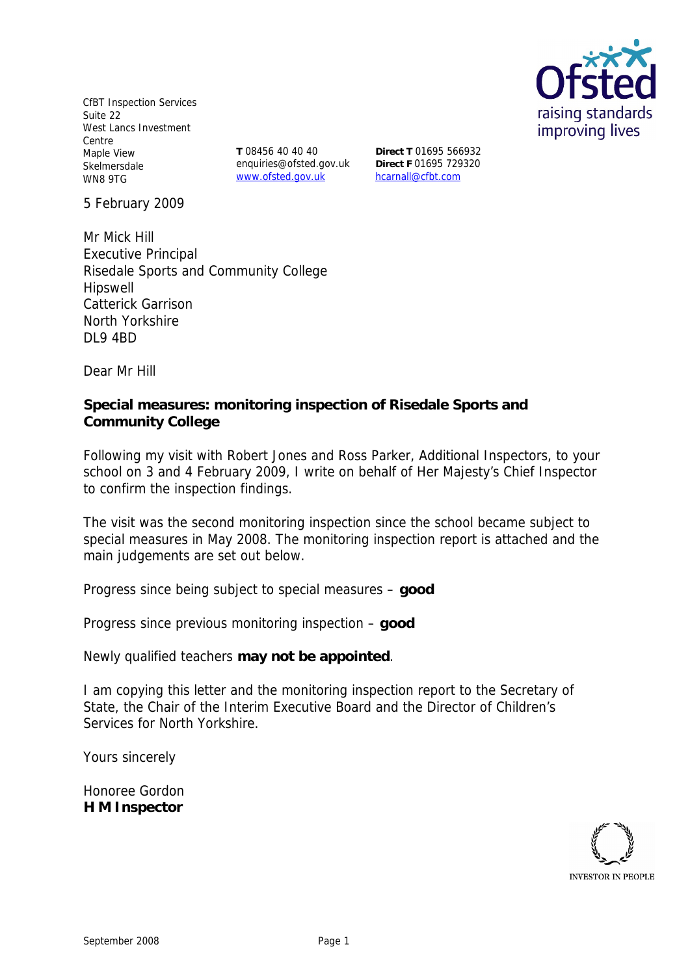CfBT Inspection Services Suite 22 West Lancs Investment Centre Maple View Skelmersdale WN8 9TG

**T** 08456 40 40 40 enquiries@ofsted.gov.uk www.ofsted.gov.uk

**Direct T** 01695 566932 **Direct F** 01695 729320 hcarnall@cfbt.com

5 February 2009

Mr Mick Hill Executive Principal Risedale Sports and Community College Hipswell Catterick Garrison North Yorkshire DL9 4BD

Dear Mr Hill

**Special measures: monitoring inspection of Risedale Sports and Community College**

Following my visit with Robert Jones and Ross Parker, Additional Inspectors, to your school on 3 and 4 February 2009, I write on behalf of Her Majesty's Chief Inspector to confirm the inspection findings.

The visit was the second monitoring inspection since the school became subject to special measures in May 2008. The monitoring inspection report is attached and the main judgements are set out below.

Progress since being subject to special measures – **good** 

Progress since previous monitoring inspection – **good** 

Newly qualified teachers **may not be appointed**.

I am copying this letter and the monitoring inspection report to the Secretary of State, the Chair of the Interim Executive Board and the Director of Children's Services for North Yorkshire.

Yours sincerely

Honoree Gordon **H M Inspector**

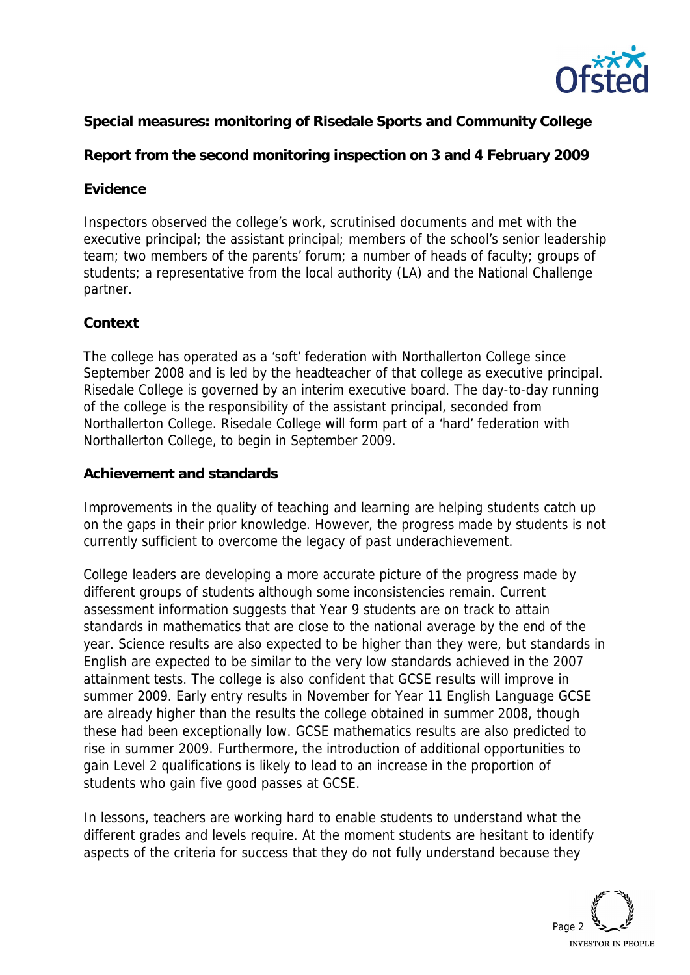

**Special measures: monitoring of Risedale Sports and Community College**

**Report from the second monitoring inspection on 3 and 4 February 2009**

## **Evidence**

Inspectors observed the college's work, scrutinised documents and met with the executive principal; the assistant principal; members of the school's senior leadership team; two members of the parents' forum; a number of heads of faculty; groups of students; a representative from the local authority (LA) and the National Challenge partner.

## **Context**

The college has operated as a 'soft' federation with Northallerton College since September 2008 and is led by the headteacher of that college as executive principal. Risedale College is governed by an interim executive board. The day-to-day running of the college is the responsibility of the assistant principal, seconded from Northallerton College. Risedale College will form part of a 'hard' federation with Northallerton College, to begin in September 2009.

## **Achievement and standards**

Improvements in the quality of teaching and learning are helping students catch up on the gaps in their prior knowledge. However, the progress made by students is not currently sufficient to overcome the legacy of past underachievement.

College leaders are developing a more accurate picture of the progress made by different groups of students although some inconsistencies remain. Current assessment information suggests that Year 9 students are on track to attain standards in mathematics that are close to the national average by the end of the year. Science results are also expected to be higher than they were, but standards in English are expected to be similar to the very low standards achieved in the 2007 attainment tests. The college is also confident that GCSE results will improve in summer 2009. Early entry results in November for Year 11 English Language GCSE are already higher than the results the college obtained in summer 2008, though these had been exceptionally low. GCSE mathematics results are also predicted to rise in summer 2009. Furthermore, the introduction of additional opportunities to gain Level 2 qualifications is likely to lead to an increase in the proportion of students who gain five good passes at GCSE.

In lessons, teachers are working hard to enable students to understand what the different grades and levels require. At the moment students are hesitant to identify aspects of the criteria for success that they do not fully understand because they

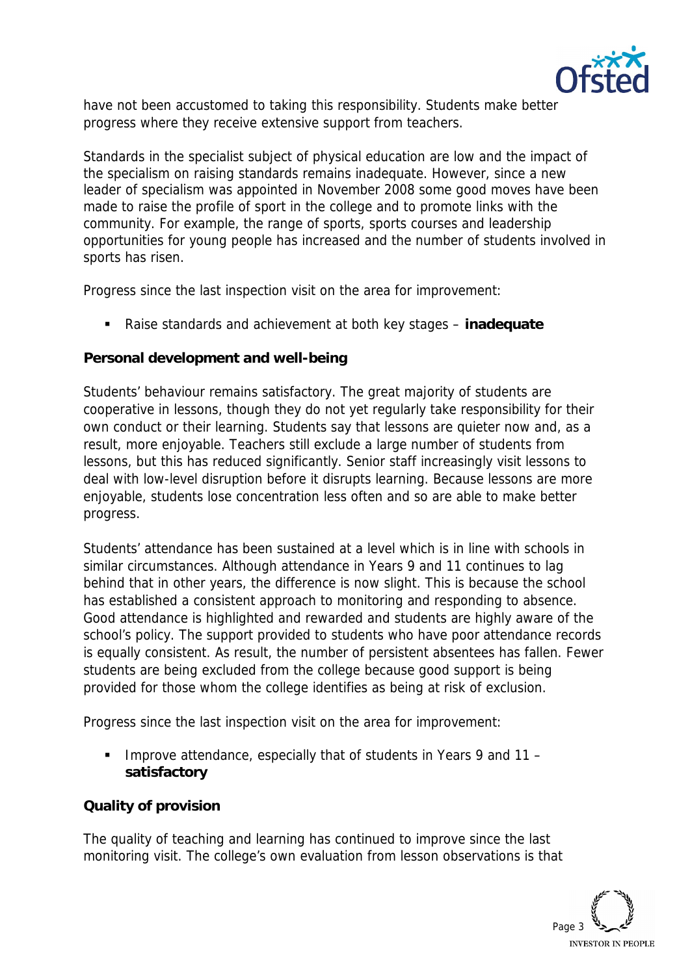

have not been accustomed to taking this responsibility. Students make better progress where they receive extensive support from teachers.

Standards in the specialist subject of physical education are low and the impact of the specialism on raising standards remains inadequate. However, since a new leader of specialism was appointed in November 2008 some good moves have been made to raise the profile of sport in the college and to promote links with the community. For example, the range of sports, sports courses and leadership opportunities for young people has increased and the number of students involved in sports has risen.

Progress since the last inspection visit on the area for improvement:

Raise standards and achievement at both key stages – **inadequate**

**Personal development and well-being**

Students' behaviour remains satisfactory. The great majority of students are cooperative in lessons, though they do not yet regularly take responsibility for their own conduct or their learning. Students say that lessons are quieter now and, as a result, more enjoyable. Teachers still exclude a large number of students from lessons, but this has reduced significantly. Senior staff increasingly visit lessons to deal with low-level disruption before it disrupts learning. Because lessons are more enjoyable, students lose concentration less often and so are able to make better progress.

Students' attendance has been sustained at a level which is in line with schools in similar circumstances. Although attendance in Years 9 and 11 continues to lag behind that in other years, the difference is now slight. This is because the school has established a consistent approach to monitoring and responding to absence. Good attendance is highlighted and rewarded and students are highly aware of the school's policy. The support provided to students who have poor attendance records is equally consistent. As result, the number of persistent absentees has fallen. Fewer students are being excluded from the college because good support is being provided for those whom the college identifies as being at risk of exclusion.

Progress since the last inspection visit on the area for improvement:

 Improve attendance, especially that of students in Years 9 and 11 – **satisfactory** 

**Quality of provision**

The quality of teaching and learning has continued to improve since the last monitoring visit. The college's own evaluation from lesson observations is that

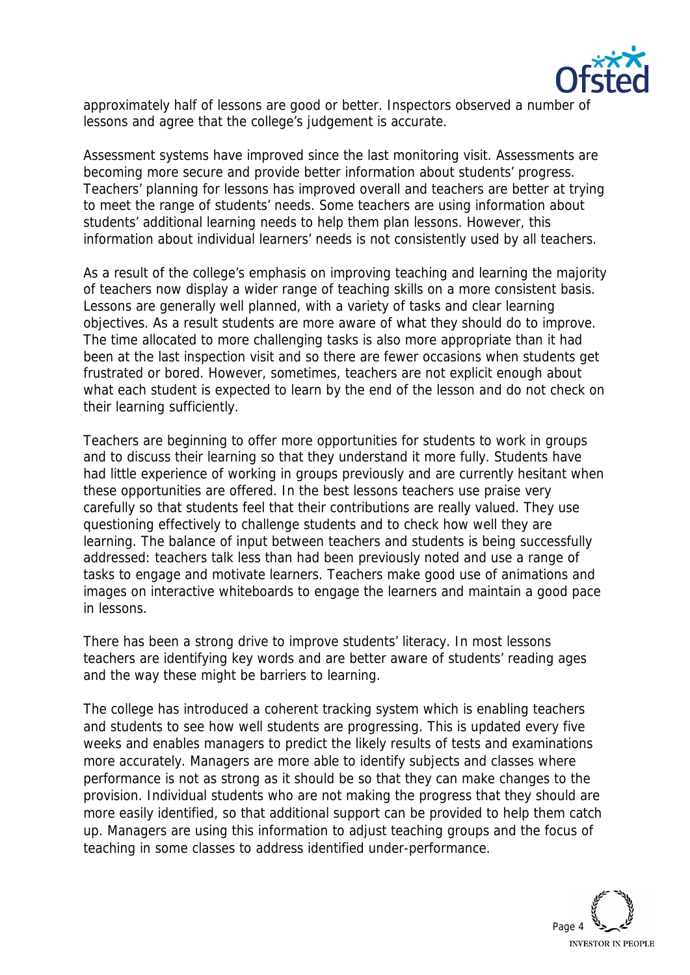

approximately half of lessons are good or better. Inspectors observed a number of lessons and agree that the college's judgement is accurate.

Assessment systems have improved since the last monitoring visit. Assessments are becoming more secure and provide better information about students' progress. Teachers' planning for lessons has improved overall and teachers are better at trying to meet the range of students' needs. Some teachers are using information about students' additional learning needs to help them plan lessons. However, this information about individual learners' needs is not consistently used by all teachers.

As a result of the college's emphasis on improving teaching and learning the majority of teachers now display a wider range of teaching skills on a more consistent basis. Lessons are generally well planned, with a variety of tasks and clear learning objectives. As a result students are more aware of what they should do to improve. The time allocated to more challenging tasks is also more appropriate than it had been at the last inspection visit and so there are fewer occasions when students get frustrated or bored. However, sometimes, teachers are not explicit enough about what each student is expected to learn by the end of the lesson and do not check on their learning sufficiently.

Teachers are beginning to offer more opportunities for students to work in groups and to discuss their learning so that they understand it more fully. Students have had little experience of working in groups previously and are currently hesitant when these opportunities are offered. In the best lessons teachers use praise very carefully so that students feel that their contributions are really valued. They use questioning effectively to challenge students and to check how well they are learning. The balance of input between teachers and students is being successfully addressed: teachers talk less than had been previously noted and use a range of tasks to engage and motivate learners. Teachers make good use of animations and images on interactive whiteboards to engage the learners and maintain a good pace in lessons.

There has been a strong drive to improve students' literacy. In most lessons teachers are identifying key words and are better aware of students' reading ages and the way these might be barriers to learning.

The college has introduced a coherent tracking system which is enabling teachers and students to see how well students are progressing. This is updated every five weeks and enables managers to predict the likely results of tests and examinations more accurately. Managers are more able to identify subjects and classes where performance is not as strong as it should be so that they can make changes to the provision. Individual students who are not making the progress that they should are more easily identified, so that additional support can be provided to help them catch up. Managers are using this information to adjust teaching groups and the focus of teaching in some classes to address identified under-performance.

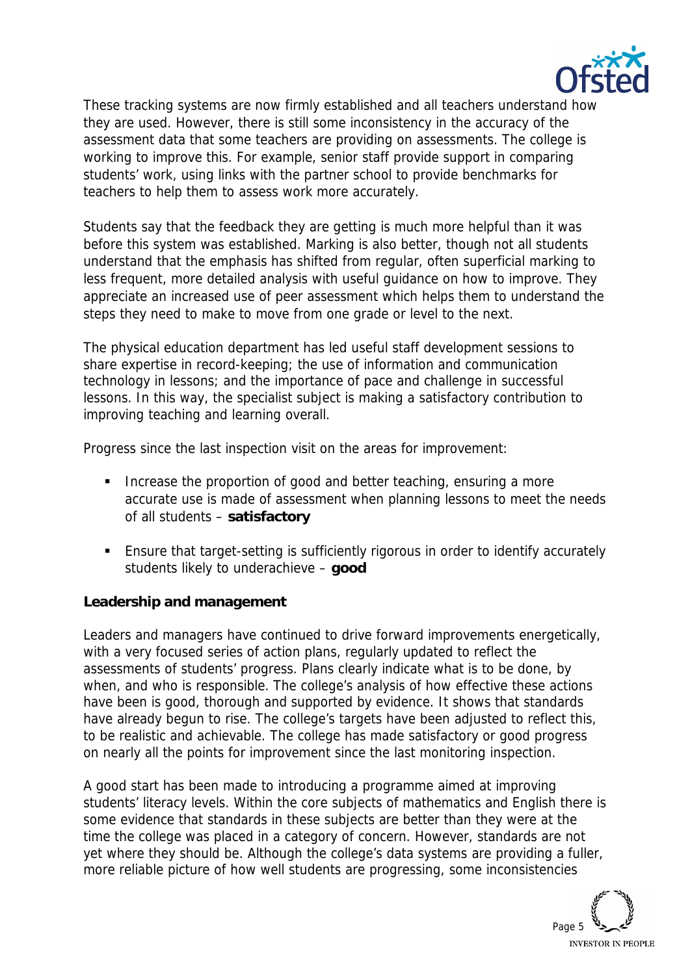

These tracking systems are now firmly established and all teachers understand how they are used. However, there is still some inconsistency in the accuracy of the assessment data that some teachers are providing on assessments. The college is working to improve this. For example, senior staff provide support in comparing students' work, using links with the partner school to provide benchmarks for teachers to help them to assess work more accurately.

Students say that the feedback they are getting is much more helpful than it was before this system was established. Marking is also better, though not all students understand that the emphasis has shifted from regular, often superficial marking to less frequent, more detailed analysis with useful guidance on how to improve. They appreciate an increased use of peer assessment which helps them to understand the steps they need to make to move from one grade or level to the next.

The physical education department has led useful staff development sessions to share expertise in record-keeping; the use of information and communication technology in lessons; and the importance of pace and challenge in successful lessons. In this way, the specialist subject is making a satisfactory contribution to improving teaching and learning overall.

Progress since the last inspection visit on the areas for improvement:

- Increase the proportion of good and better teaching, ensuring a more accurate use is made of assessment when planning lessons to meet the needs of all students – **satisfactory**
- Ensure that target-setting is sufficiently rigorous in order to identify accurately students likely to underachieve – **good**

**Leadership and management**

Leaders and managers have continued to drive forward improvements energetically, with a very focused series of action plans, regularly updated to reflect the assessments of students' progress. Plans clearly indicate what is to be done, by when, and who is responsible. The college's analysis of how effective these actions have been is good, thorough and supported by evidence. It shows that standards have already begun to rise. The college's targets have been adjusted to reflect this, to be realistic and achievable. The college has made satisfactory or good progress on nearly all the points for improvement since the last monitoring inspection.

A good start has been made to introducing a programme aimed at improving students' literacy levels. Within the core subjects of mathematics and English there is some evidence that standards in these subjects are better than they were at the time the college was placed in a category of concern. However, standards are not yet where they should be. Although the college's data systems are providing a fuller, more reliable picture of how well students are progressing, some inconsistencies

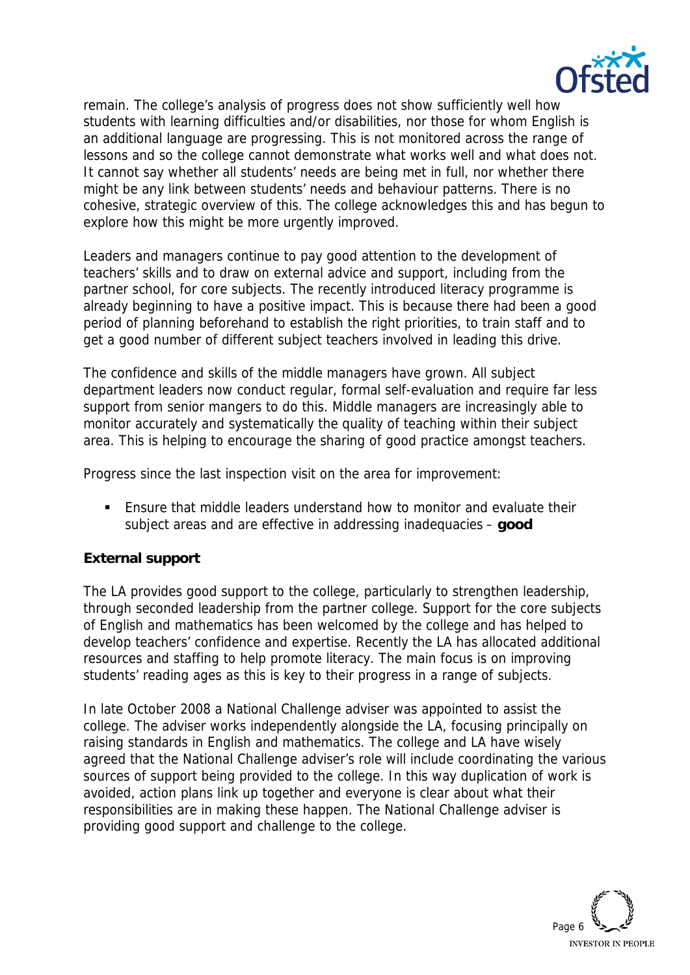

remain. The college's analysis of progress does not show sufficiently well how students with learning difficulties and/or disabilities, nor those for whom English is an additional language are progressing. This is not monitored across the range of lessons and so the college cannot demonstrate what works well and what does not. It cannot say whether all students' needs are being met in full, nor whether there might be any link between students' needs and behaviour patterns. There is no cohesive, strategic overview of this. The college acknowledges this and has begun to explore how this might be more urgently improved.

Leaders and managers continue to pay good attention to the development of teachers' skills and to draw on external advice and support, including from the partner school, for core subjects. The recently introduced literacy programme is already beginning to have a positive impact. This is because there had been a good period of planning beforehand to establish the right priorities, to train staff and to get a good number of different subject teachers involved in leading this drive.

The confidence and skills of the middle managers have grown. All subject department leaders now conduct regular, formal self-evaluation and require far less support from senior mangers to do this. Middle managers are increasingly able to monitor accurately and systematically the quality of teaching within their subject area. This is helping to encourage the sharing of good practice amongst teachers.

Progress since the last inspection visit on the area for improvement:

 Ensure that middle leaders understand how to monitor and evaluate their subject areas and are effective in addressing inadequacies – **good** 

## **External support**

The LA provides good support to the college, particularly to strengthen leadership, through seconded leadership from the partner college. Support for the core subjects of English and mathematics has been welcomed by the college and has helped to develop teachers' confidence and expertise. Recently the LA has allocated additional resources and staffing to help promote literacy. The main focus is on improving students' reading ages as this is key to their progress in a range of subjects.

In late October 2008 a National Challenge adviser was appointed to assist the college. The adviser works independently alongside the LA, focusing principally on raising standards in English and mathematics. The college and LA have wisely agreed that the National Challenge adviser's role will include coordinating the various sources of support being provided to the college. In this way duplication of work is avoided, action plans link up together and everyone is clear about what their responsibilities are in making these happen. The National Challenge adviser is providing good support and challenge to the college.